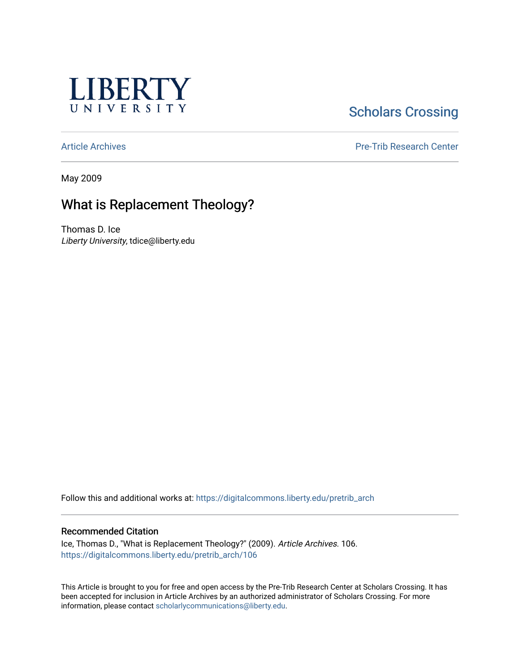

# **Scholars Crossing**

[Article Archives](https://digitalcommons.liberty.edu/pretrib_arch) [Pre-Trib Research Center](https://digitalcommons.liberty.edu/pretrib) 

May 2009

## What is Replacement Theology?

Thomas D. Ice Liberty University, tdice@liberty.edu

Follow this and additional works at: [https://digitalcommons.liberty.edu/pretrib\\_arch](https://digitalcommons.liberty.edu/pretrib_arch?utm_source=digitalcommons.liberty.edu%2Fpretrib_arch%2F106&utm_medium=PDF&utm_campaign=PDFCoverPages) 

#### Recommended Citation

Ice, Thomas D., "What is Replacement Theology?" (2009). Article Archives. 106. [https://digitalcommons.liberty.edu/pretrib\\_arch/106](https://digitalcommons.liberty.edu/pretrib_arch/106?utm_source=digitalcommons.liberty.edu%2Fpretrib_arch%2F106&utm_medium=PDF&utm_campaign=PDFCoverPages) 

This Article is brought to you for free and open access by the Pre-Trib Research Center at Scholars Crossing. It has been accepted for inclusion in Article Archives by an authorized administrator of Scholars Crossing. For more information, please contact [scholarlycommunications@liberty.edu](mailto:scholarlycommunications@liberty.edu).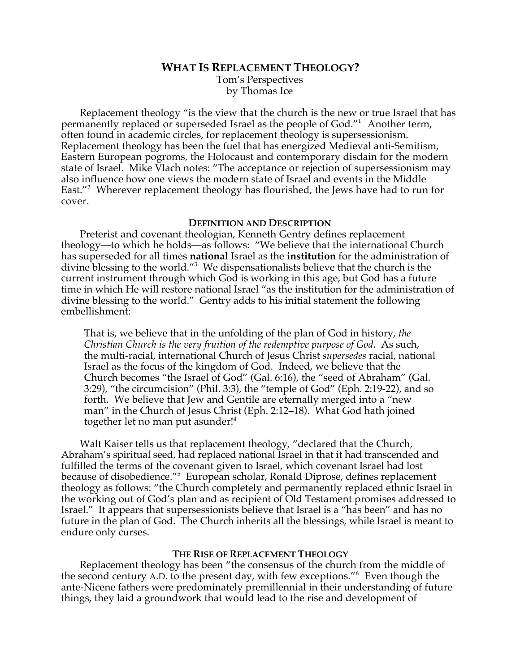## **WHAT IS REPLACEMENT THEOLOGY?**

Tom's Perspectives by Thomas Ice

Replacement theology "is the view that the church is the new or true Israel that has permanently replaced or superseded Israel as the people of God."1 Another term, often found in academic circles, for replacement theology is supersessionism. Replacement theology has been the fuel that has energized Medieval anti-Semitism, Eastern European pogroms, the Holocaust and contemporary disdain for the modern state of Israel. Mike Vlach notes: "The acceptance or rejection of supersessionism may also influence how one views the modern state of Israel and events in the Middle East."<sup>2</sup> Wherever replacement theology has flourished, the Jews have had to run for cover.

#### **DEFINITION AND DESCRIPTION**

Preterist and covenant theologian, Kenneth Gentry defines replacement theology—to which he holds—as follows: "We believe that the international Church has superseded for all times **national** Israel as the **institution** for the administration of divine blessing to the world."<sup>3</sup> We dispensationalists believe that the church is the current instrument through which God is working in this age, but God has a future time in which He will restore national Israel "as the institution for the administration of divine blessing to the world." Gentry adds to his initial statement the following embellishment:

That is, we believe that in the unfolding of the plan of God in history, *the Christian Church is the very fruition of the redemptive purpose of God*. As such, the multi-racial, international Church of Jesus Christ *supersedes* racial, national Israel as the focus of the kingdom of God. Indeed, we believe that the Church becomes "the Israel of God" (Gal. 6:16), the "seed of Abraham" (Gal. 3:29), "the circumcision" (Phil. 3:3), the "temple of God" (Eph. 2:19-22), and so forth. We believe that Jew and Gentile are eternally merged into a "new man" in the Church of Jesus Christ (Eph. 2:12–18). What God hath joined together let no man put asunder!<sup>4</sup>

Walt Kaiser tells us that replacement theology, "declared that the Church, Abraham's spiritual seed, had replaced national Israel in that it had transcended and fulfilled the terms of the covenant given to Israel, which covenant Israel had lost because of disobedience."5 European scholar, Ronald Diprose, defines replacement theology as follows: "the Church completely and permanently replaced ethnic Israel in the working out of God's plan and as recipient of Old Testament promises addressed to Israel." It appears that supersessionists believe that Israel is a "has been" and has no future in the plan of God. The Church inherits all the blessings, while Israel is meant to endure only curses.

#### **THE RISE OF REPLACEMENT THEOLOGY**

Replacement theology has been "the consensus of the church from the middle of the second century A.D. to the present day, with few exceptions."<sup>6</sup> Even though the ante-Nicene fathers were predominately premillennial in their understanding of future things, they laid a groundwork that would lead to the rise and development of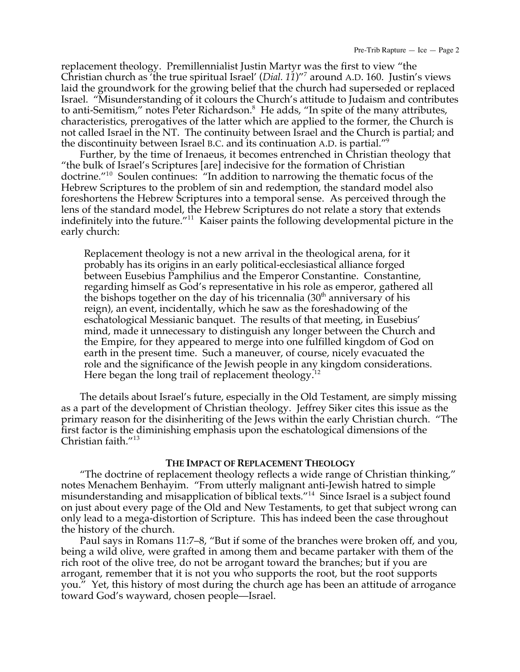replacement theology. Premillennialist Justin Martyr was the first to view "the Christian church as 'the true spiritual Israel' (*Dial. 11*)"7 around A.D. 160. Justin's views laid the groundwork for the growing belief that the church had superseded or replaced Israel. "Misunderstanding of it colours the Church's attitude to Judaism and contributes to anti-Semitism," notes Peter Richardson.<sup>8</sup> He adds, "In spite of the many attributes, characteristics, prerogatives of the latter which are applied to the former, the Church is not called Israel in the NT. The continuity between Israel and the Church is partial; and the discontinuity between Israel B.C. and its continuation A.D. is partial."9

Further, by the time of Irenaeus, it becomes entrenched in Christian theology that "the bulk of Israel's Scriptures [are] indecisive for the formation of Christian doctrine."10 Soulen continues: "In addition to narrowing the thematic focus of the Hebrew Scriptures to the problem of sin and redemption, the standard model also foreshortens the Hebrew Scriptures into a temporal sense. As perceived through the lens of the standard model, the Hebrew Scriptures do not relate a story that extends indefinitely into the future." $^{11}$  Kaiser paints the following developmental picture in the early church:

Replacement theology is not a new arrival in the theological arena, for it probably has its origins in an early political-ecclesiastical alliance forged between Eusebius Pamphilius and the Emperor Constantine. Constantine, regarding himself as God's representative in his role as emperor, gathered all the bishops together on the day of his tricennalia  $(30<sup>th</sup>$  anniversary of his reign), an event, incidentally, which he saw as the foreshadowing of the eschatological Messianic banquet. The results of that meeting, in Eusebius' mind, made it unnecessary to distinguish any longer between the Church and the Empire, for they appeared to merge into one fulfilled kingdom of God on earth in the present time. Such a maneuver, of course, nicely evacuated the role and the significance of the Jewish people in any kingdom considerations. Here began the long trail of replacement theology.<sup>12</sup>

The details about Israel's future, especially in the Old Testament, are simply missing as a part of the development of Christian theology. Jeffrey Siker cites this issue as the primary reason for the disinheriting of the Jews within the early Christian church. "The first factor is the diminishing emphasis upon the eschatological dimensions of the Christian faith."<sup>13</sup>

#### **THE IMPACT OF REPLACEMENT THEOLOGY**

"The doctrine of replacement theology reflects a wide range of Christian thinking," notes Menachem Benhayim. "From utterly malignant anti-Jewish hatred to simple misunderstanding and misapplication of biblical texts."14 Since Israel is a subject found on just about every page of the Old and New Testaments, to get that subject wrong can only lead to a mega-distortion of Scripture. This has indeed been the case throughout the history of the church.

Paul says in Romans 11:7–8, "But if some of the branches were broken off, and you, being a wild olive, were grafted in among them and became partaker with them of the rich root of the olive tree, do not be arrogant toward the branches; but if you are arrogant, remember that it is not you who supports the root, but the root supports you." Yet, this history of most during the church age has been an attitude of arrogance toward God's wayward, chosen people—Israel.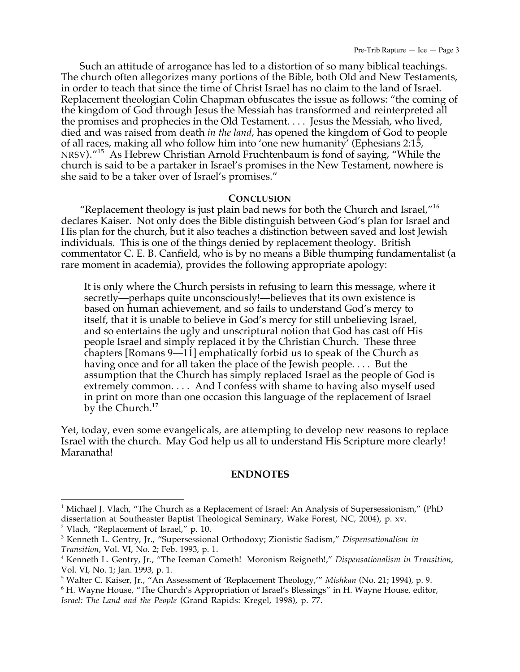Such an attitude of arrogance has led to a distortion of so many biblical teachings. The church often allegorizes many portions of the Bible, both Old and New Testaments, in order to teach that since the time of Christ Israel has no claim to the land of Israel. Replacement theologian Colin Chapman obfuscates the issue as follows: "the coming of the kingdom of God through Jesus the Messiah has transformed and reinterpreted all the promises and prophecies in the Old Testament. . . . Jesus the Messiah, who lived, died and was raised from death *in the land*, has opened the kingdom of God to people of all races, making all who follow him into 'one new humanity' (Ephesians 2:15, NRSV)."<sup>15</sup> As Hebrew Christian Arnold Fruchtenbaum is fond of saying, "While the church is said to be a partaker in Israel's promises in the New Testament, nowhere is she said to be a taker over of Israel's promises."

### **CONCLUSION**

"Replacement theology is just plain bad news for both the Church and Israel, $^{\prime\prime 16}$ declares Kaiser. Not only does the Bible distinguish between God's plan for Israel and His plan for the church, but it also teaches a distinction between saved and lost Jewish individuals. This is one of the things denied by replacement theology. British commentator C. E. B. Canfield, who is by no means a Bible thumping fundamentalist (a rare moment in academia), provides the following appropriate apology:

It is only where the Church persists in refusing to learn this message, where it secretly—perhaps quite unconsciously!—believes that its own existence is based on human achievement, and so fails to understand God's mercy to itself, that it is unable to believe in God's mercy for still unbelieving Israel, and so entertains the ugly and unscriptural notion that God has cast off His people Israel and simply replaced it by the Christian Church. These three chapters [Romans 9—11] emphatically forbid us to speak of the Church as having once and for all taken the place of the Jewish people.... But the assumption that the Church has simply replaced Israel as the people of God is extremely common. . . . And I confess with shame to having also myself used in print on more than one occasion this language of the replacement of Israel by the Church.<sup>17</sup>

Yet, today, even some evangelicals, are attempting to develop new reasons to replace Israel with the church. May God help us all to understand His Scripture more clearly! Maranatha!

## **ENDNOTES**

 $\overline{a}$ 

<sup>&</sup>lt;sup>1</sup> Michael J. Vlach, "The Church as a Replacement of Israel: An Analysis of Supersessionism," (PhD dissertation at Southeaster Baptist Theological Seminary, Wake Forest, NC, 2004), p. xv. <sup>2</sup> Vlach, "Replacement of Israel," p. 10.

<sup>3</sup> Kenneth L. Gentry, Jr., "Supersessional Orthodoxy; Zionistic Sadism," *Dispensationalism in Transition*, Vol. VI, No. 2; Feb. 1993, p. 1.

<sup>4</sup> Kenneth L. Gentry, Jr., "The Iceman Cometh! Moronism Reigneth!," *Dispensationalism in Transition*, Vol. VI, No. 1; Jan. 1993, p. 1.

<sup>5</sup> Walter C. Kaiser, Jr., "An Assessment of 'Replacement Theology,'" *Mishkan* (No. 21; 1994), p. 9.

<sup>6</sup> H. Wayne House, "The Church's Appropriation of Israel's Blessings" in H. Wayne House, editor, *Israel: The Land and the People* (Grand Rapids: Kregel, 1998), p. 77.